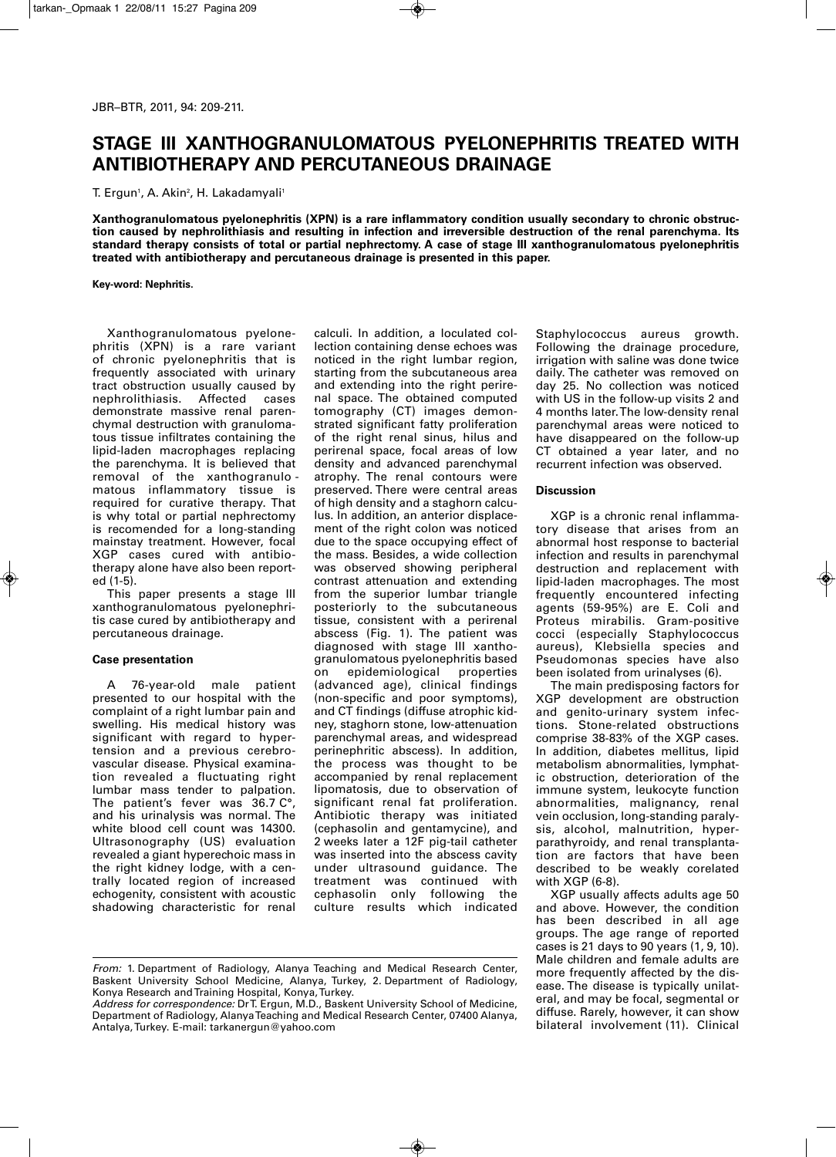## **STAGE III XANTHOGRANULOMATOUS PYELONEPHRITIS TREATED WITH ANTIBIOTHERAPY AND PERCUTANEOUS DRAINAGE**

T. Ergun', A. Akin<del>'</del>, H. Lakadamyali'

**Xanthogranulomatous pyelonephritis (XPN) is a rare inflammatory condition usually secondary to chronic obstruction caused by nephrolithiasis and resulting in infection and irreversible destruction of the renal parenchyma. Its standard therapy consists of total or partial nephrectomy. A case of stage III xanthogranulomatous pyelonephritis treated with antibiotherapy and percutaneous drainage is presented in this paper.**

**Key-word: Nephritis.**

Xanthogranulomatous pyelone phritis (XPN) is a rare variant of chronic pyelonephritis that is frequently associated with urinary tract obstruction usually caused by nephrolithiasis. Affected cases demonstrate massive renal parenchymal destruction with granulomatous tissue infiltrates containing the lipid-laden macrophages replacing the parenchyma. It is believed that removal of the xanthogranulo matous inflammatory tissue is required for curative therapy. That is why total or partial nephrectomy is recomended for a long-standing mainstay treatment. However, focal XGP cases cured with antibiotherapy alone have also been reported (1-5).

This paper presents a stage III xanthogranulomatous pyelonephritis case cured by antibiotherapy and percutaneous drainage.

## **Case presentation**

A 76-year-old male patient presented to our hospital with the complaint of a right lumbar pain and swelling. His medical history was significant with regard to hypertension and a previous cerebrovascular disease. Physical examination revealed a fluctuating right lumbar mass tender to palpation. The patient's fever was 36.7 C°, and his urinalysis was normal. The white blood cell count was 14300. Ultrasonography (US) evaluation revealed a giant hyperechoic mass in the right kidney lodge, with a centrally located region of increased echogenity, consistent with acoustic shadowing characteristic for renal

calculi. In addition, a loculated collection containing dense echoes was noticed in the right lumbar region, starting from the subcutaneous area and extending into the right perirenal space. The obtained computed tomography (CT) images demonstrated significant fatty proliferation of the right renal sinus, hilus and perirenal space, focal areas of low density and advanced parenchymal atrophy. The renal contours were preserved. There were central areas of high density and a staghorn calculus. In addition, an anterior displacement of the right colon was noticed due to the space occupying effect of the mass. Besides, a wide collection was observed showing peripheral contrast attenuation and extending from the superior lumbar triangle posteriorly to the subcutaneous tissue, consistent with a perirenal abscess (Fig. 1). The patient was diagnosed with stage III xantho granulomatous pyelonephritis based on epidemiological properties (advanced age), clinical findings (non-specific and poor symptoms), and CT findings (diffuse atrophic kidney, staghorn stone, low-attenuation parenchymal areas, and widespread perinephritic abscess). In addition, the process was thought to be accompanied by renal replacement lipomatosis, due to observation of significant renal fat proliferation. Antibiotic therapy was initiated (cephasolin and gentamycine), and 2 weeks later a 12F pig-tail catheter was inserted into the abscess cavity under ultrasound guidance. The treatment was continued with cephasolin only following the culture results which indicated Staphylococcus aureus growth. Following the drainage procedure, irrigation with saline was done twice daily. The catheter was removed on day 25. No collection was noticed with US in the follow-up visits 2 and 4 months later. The low-density renal parenchymal areas were noticed to have disappeared on the follow-up CT obtained a year later, and no recurrent infection was observed.

## **Discussion**

XGP is a chronic renal inflammatory disease that arises from an abnormal host response to bacterial infection and results in parenchymal destruction and replacement with lipid-laden macrophages. The most frequently encountered infecting agents (59-95%) are E. Coli and Proteus mirabilis. Gram-positive cocci (especially Staphylococcus aureus), Klebsiella species and Pseudomonas species have also been isolated from urinalyses (6).

The main predisposing factors for XGP development are obstruction and genito-urinary system infections. Stone-related obstructions comprise 38-83% of the XGP cases. In addition, diabetes mellitus, lipid metabolism abnormalities, lymphatic obstruction, deterioration of the immune system, leukocyte function abnormalities, malignancy, renal vein occlusion, long-standing paralysis, alcohol, malnutrition, hyperparathyroidy, and renal transplantation are factors that have been described to be weakly corelated with XGP (6-8).

XGP usually affects adults age 50 and above. However, the condition has been described in all age groups. The age range of reported cases is 21 days to 90 years (1, 9, 10). Male children and female adults are more frequently affected by the disease. The disease is typically unilateral, and may be focal, segmental or diffuse. Rarely, however, it can show bilateral involvement (11). Clinical

*From:* 1. Department of Radiology, Alanya Teaching and Medical Research Center, Baskent University School Medicine, Alanya, Turkey, 2. Department of Radiology, Konya Research and Training Hospital, Konya, Turkey.

*Address for correspondence:* Dr T. Ergun, M.D., Baskent University School of Medicine, Department of Radiology, Alanya Teaching and Medical Research Center, 07400 Alanya, Antalya, Turkey. E-mail: tarkanergun@yahoo.com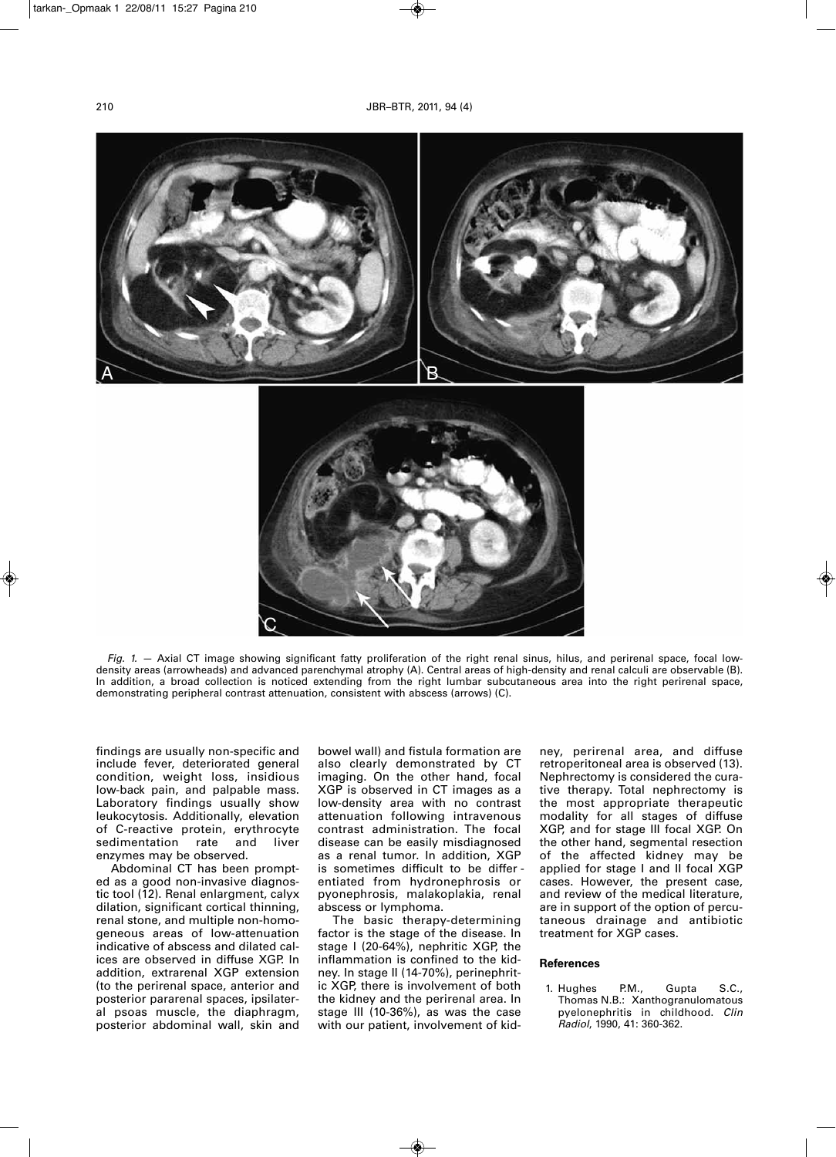

*Fig. 1. —* Axial CT image showing significant fatty proliferation of the right renal sinus, hilus, and perirenal space, focal lowdensity areas (arrowheads) and advanced parenchymal atrophy (A). Central areas of high-density and renal calculi are observable (B). In addition, a broad collection is noticed extending from the right lumbar subcutaneous area into the right perirenal space, demonstrating peripheral contrast attenuation, consistent with abscess (arrows) (C).

findings are usually non-specific and include fever, deteriorated general condition, weight loss, insidious low-back pain, and palpable mass. Laboratory findings usually show leukocytosis. Additionally, elevation of C-reactive protein, erythrocyte<br>sedimentation rate and liver sedimentation rate and liver enzymes may be observed.

C

Abdominal CT has been prompted as a good non-invasive diagnostic tool (12). Renal enlargment, calyx dilation, significant cortical thinning, renal stone, and multiple non-homogeneous areas of low-attenuation indicative of abscess and dilated calices are observed in diffuse XGP. In addition, extrarenal XGP extension (to the perirenal space, anterior and posterior pararenal spaces, ipsilateral psoas muscle, the diaphragm, posterior abdominal wall, skin and

bowel wall) and fistula formation are also clearly demonstrated by CT imaging. On the other hand, focal XGP is observed in CT images as a low-density area with no contrast attenuation following intravenous contrast administration. The focal disease can be easily misdiagnosed as a renal tumor. In addition, XGP is sometimes difficult to be differ entiated from hydronephrosis or pyonephrosis, malakoplakia, renal abscess or lymphoma.

The basic therapy-determining factor is the stage of the disease. In stage I (20-64%), nephritic XGP, the inflammation is confined to the kidney. In stage II (14-70%), perinephritic XGP, there is involvement of both the kidney and the perirenal area. In stage III (10-36%), as was the case with our patient, involvement of kid-

ney, perirenal area, and diffuse retroperitoneal area is observed (13). Nephrectomy is considered the curative therapy. Total nephrectomy is the most appropriate therapeutic modality for all stages of diffuse XGP, and for stage III focal XGP. On the other hand, segmental resection of the affected kidney may be applied for stage I and II focal XGP cases. However, the present case, and review of the medical literature, are in support of the option of percutaneous drainage and antibiotic treatment for XGP cases.

## **References**

1. Hughes P.M., Gupta S.C., Thomas N.B.: Xanthogranulomatous pyelonephritis in childhood. *Clin Radiol*, 1990, 41: 360-362.